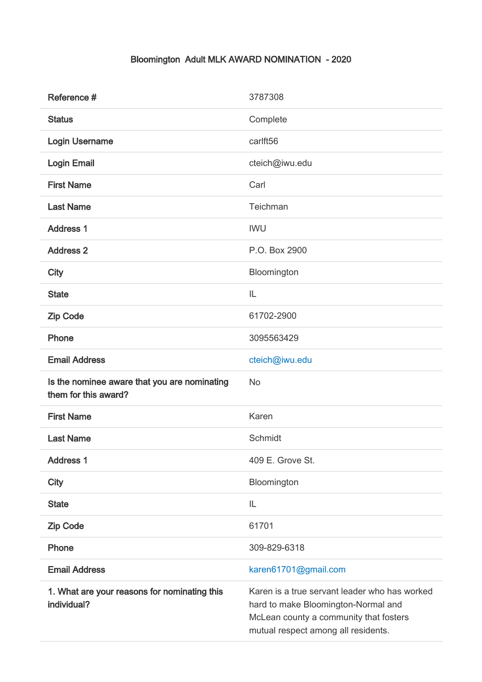## Bloomington Adult MLK AWARD NOMINATION - 2020

| Reference #                                                          | 3787308                                                                                                                                                               |
|----------------------------------------------------------------------|-----------------------------------------------------------------------------------------------------------------------------------------------------------------------|
| <b>Status</b>                                                        | Complete                                                                                                                                                              |
| <b>Login Username</b>                                                | carlft56                                                                                                                                                              |
| <b>Login Email</b>                                                   | cteich@iwu.edu                                                                                                                                                        |
| <b>First Name</b>                                                    | Carl                                                                                                                                                                  |
| <b>Last Name</b>                                                     | Teichman                                                                                                                                                              |
| <b>Address 1</b>                                                     | <b>IWU</b>                                                                                                                                                            |
| <b>Address 2</b>                                                     | P.O. Box 2900                                                                                                                                                         |
| <b>City</b>                                                          | Bloomington                                                                                                                                                           |
| <b>State</b>                                                         | IL                                                                                                                                                                    |
| <b>Zip Code</b>                                                      | 61702-2900                                                                                                                                                            |
| Phone                                                                | 3095563429                                                                                                                                                            |
| <b>Email Address</b>                                                 | cteich@iwu.edu                                                                                                                                                        |
| Is the nominee aware that you are nominating<br>them for this award? | No                                                                                                                                                                    |
| <b>First Name</b>                                                    | Karen                                                                                                                                                                 |
| <b>Last Name</b>                                                     | Schmidt                                                                                                                                                               |
| <b>Address 1</b>                                                     | 409 E. Grove St.                                                                                                                                                      |
| <b>City</b>                                                          | Bloomington                                                                                                                                                           |
| <b>State</b>                                                         | IL                                                                                                                                                                    |
| <b>Zip Code</b>                                                      | 61701                                                                                                                                                                 |
| Phone                                                                | 309-829-6318                                                                                                                                                          |
| <b>Email Address</b>                                                 | karen61701@gmail.com                                                                                                                                                  |
| 1. What are your reasons for nominating this<br>individual?          | Karen is a true servant leader who has worked<br>hard to make Bloomington-Normal and<br>McLean county a community that fosters<br>mutual respect among all residents. |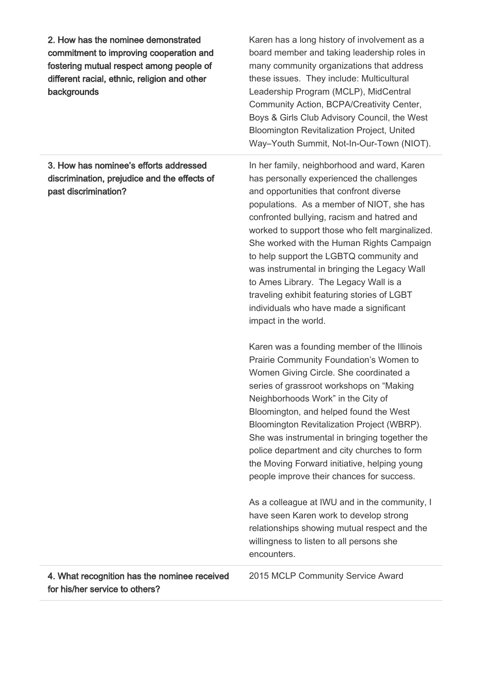2. How has the nominee demonstrated commitment to improving cooperation and fostering mutual respect among people of different racial, ethnic, religion and other backgrounds

3. How has nominee's efforts addressed discrimination, prejudice and the effects of past discrimination?

Karen has a long history of involvement as a board member and taking leadership roles in many community organizations that address these issues. They include: Multicultural Leadership Program (MCLP), MidCentral Community Action, BCPA/Creativity Center, Boys & Girls Club Advisory Council, the West Bloomington Revitalization Project, United Way–Youth Summit, Not-In-Our-Town (NIOT).

In her family, neighborhood and ward, Karen has personally experienced the challenges and opportunities that confront diverse populations. As a member of NIOT, she has confronted bullying, racism and hatred and worked to support those who felt marginalized. She worked with the Human Rights Campaign to help support the LGBTQ community and was instrumental in bringing the Legacy Wall to Ames Library. The Legacy Wall is a traveling exhibit featuring stories of LGBT individuals who have made a significant impact in the world.

Karen was a founding member of the Illinois Prairie Community Foundation's Women to Women Giving Circle. She coordinated a series of grassroot workshops on "Making Neighborhoods Work" in the City of Bloomington, and helped found the West Bloomington Revitalization Project (WBRP). She was instrumental in bringing together the police department and city churches to form the Moving Forward initiative, helping young people improve their chances for success.

As a colleague at IWU and in the community, I have seen Karen work to develop strong relationships showing mutual respect and the willingness to listen to all persons she encounters.

4. What recognition has the nominee received for his/her service to others?

2015 MCLP Community Service Award